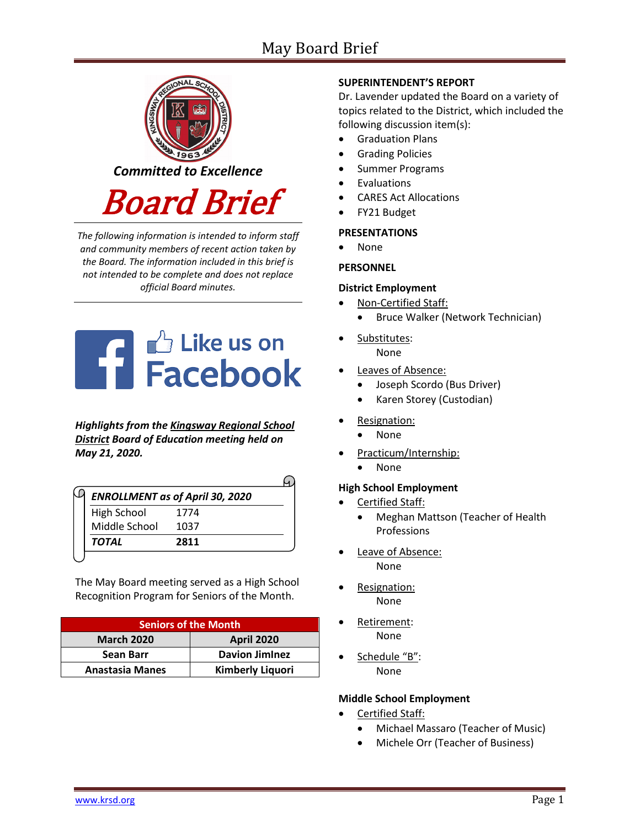# May Board Brief



*The following information is intended to inform staff and community members of recent action taken by the Board. The information included in this brief is not intended to be complete and does not replace official Board minutes.*



*Highlights from the [Kingsway Regional School](https://www.facebook.com/KingswayDragons)  [District](https://www.facebook.com/KingswayDragons) Board of Education meeting held on May 21, 2020.*

| <b>ENROLLMENT as of April 30, 2020</b> |      |  |
|----------------------------------------|------|--|
| High School                            | 1774 |  |
| Middle School                          | 1037 |  |
| <b>TOTAL</b>                           | 2811 |  |

The May Board meeting served as a High School Recognition Program for Seniors of the Month.

| <b>Seniors of the Month</b> |                         |  |
|-----------------------------|-------------------------|--|
| <b>March 2020</b>           | <b>April 2020</b>       |  |
| Sean Barr                   | <b>Davion JimInez</b>   |  |
| <b>Anastasia Manes</b>      | <b>Kimberly Liquori</b> |  |

# **SUPERINTENDENT'S REPORT**

Dr. Lavender updated the Board on a variety of topics related to the District, which included the following discussion item(s):

- Graduation Plans
- Grading Policies
- Summer Programs
- **Evaluations**
- CARES Act Allocations
- FY21 Budget

#### **PRESENTATIONS**

• None

## **PERSONNEL**

#### **District Employment**

- Non-Certified Staff:
	- Bruce Walker (Network Technician)
- Substitutes: None
- Leaves of Absence:
	- Joseph Scordo (Bus Driver)
	- Karen Storey (Custodian)
- Resignation:
	- None
- Practicum/Internship:
	- None

#### **High School Employment**

- Certified Staff:
	- Meghan Mattson (Teacher of Health Professions
- Leave of Absence: None
- Resignation: None
- Retirement: None
- Schedule "B": None

## **Middle School Employment**

- Certified Staff:
	- Michael Massaro (Teacher of Music)
	- Michele Orr (Teacher of Business)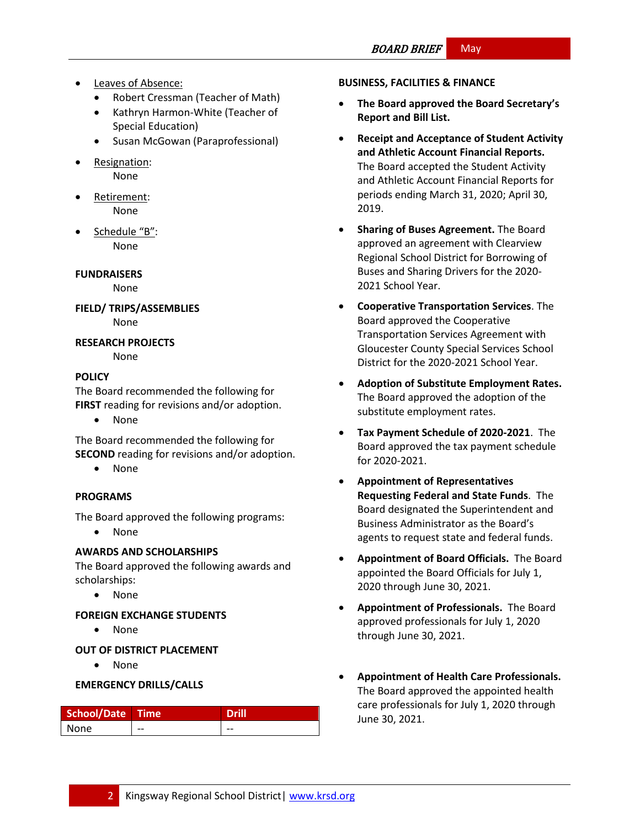- Leaves of Absence:
	- Robert Cressman (Teacher of Math)
	- Kathryn Harmon-White (Teacher of Special Education)
	- Susan McGowan (Paraprofessional)
- Resignation: None
- Retirement: None
- Schedule "B": None

**FUNDRAISERS**

None

**FIELD/ TRIPS/ASSEMBLIES** None

**RESEARCH PROJECTS**

None

# **[POLICY](http://www.straussesmay.com/seportal/Public/DistrictPolicyTOC.aspx?id=f0cc945ef3894b8d9ad5f87d948ca425&PolicyID=)**

The Board recommended the following for **FIRST** reading for revisions and/or adoption.

• None

The Board recommended the following for **SECOND** reading for revisions and/or adoption.

• None

## **PROGRAMS**

The Board approved the following programs:

• None

# **AWARDS AND SCHOLARSHIPS**

The Board approved the following awards and scholarships:

• None

## **FOREIGN EXCHANGE STUDENTS**

• None

# **OUT OF DISTRICT PLACEMENT**

• None

## **EMERGENCY DRILLS/CALLS**

| School/Date Time |    | <b>Drill</b> |
|------------------|----|--------------|
| None             | -- | --           |

#### **BUSINESS, FACILITIES & FINANCE**

- **The Board approved the Board Secretary's Report and Bill List.**
- **Receipt and Acceptance of Student Activity and Athletic Account Financial Reports.**  The Board accepted the Student Activity and Athletic Account Financial Reports for periods ending March 31, 2020; April 30, 2019.
- **Sharing of Buses Agreement.** The Board approved an agreement with Clearview Regional School District for Borrowing of Buses and Sharing Drivers for the 2020- 2021 School Year.
- **Cooperative Transportation Services**. The Board approved the Cooperative Transportation Services Agreement with Gloucester County Special Services School District for the 2020-2021 School Year.
- **Adoption of Substitute Employment Rates.**  The Board approved the adoption of the substitute employment rates.
- **Tax Payment Schedule of 2020-2021**. The Board approved the tax payment schedule for 2020-2021.
- **Appointment of Representatives Requesting Federal and State Funds**. The Board designated the Superintendent and Business Administrator as the Board's agents to request state and federal funds.
- **Appointment of Board Officials.** The Board appointed the Board Officials for July 1, 2020 through June 30, 2021.
- **Appointment of Professionals.** The Board approved professionals for July 1, 2020 through June 30, 2021.
- **Appointment of Health Care Professionals.** The Board approved the appointed health care professionals for July 1, 2020 through June 30, 2021.